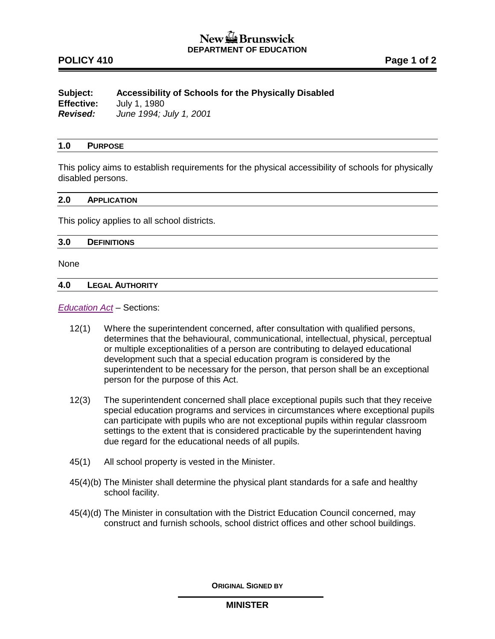# New  $\mathbb{Z}$  Brunswick **DEPARTMENT OF EDUCATION**

# **POLICY 410 Page 1 of 2**

## **Subject: Accessibility of Schools for the Physically Disabled Effective:** July 1, 1980 *Revised: June 1994; July 1, 2001*

### **1.0 PURPOSE**

This policy aims to establish requirements for the physical accessibility of schools for physically disabled persons.

#### **2.0 APPLICATION**

This policy applies to all school districts.

#### **3.0 DEFINITIONS**

None

#### **4.0 LEGAL AUTHORITY**

*[Education Act](http://laws.gnb.ca/en/ShowPdf/cs/E-1.12.pdf) –* Sections:

- 12(1) Where the superintendent concerned, after consultation with qualified persons, determines that the behavioural, communicational, intellectual, physical, perceptual or multiple exceptionalities of a person are contributing to delayed educational development such that a special education program is considered by the superintendent to be necessary for the person, that person shall be an exceptional person for the purpose of this Act.
- 12(3) The superintendent concerned shall place exceptional pupils such that they receive special education programs and services in circumstances where exceptional pupils can participate with pupils who are not exceptional pupils within regular classroom settings to the extent that is considered practicable by the superintendent having due regard for the educational needs of all pupils.
- 45(1) All school property is vested in the Minister.
- 45(4)(b) The Minister shall determine the physical plant standards for a safe and healthy school facility.
- 45(4)(d) The Minister in consultation with the District Education Council concerned, may construct and furnish schools, school district offices and other school buildings.

**ORIGINAL SIGNED BY**

### **MINISTER**